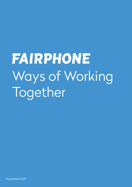**FAIRPHONE** Ways of Working Together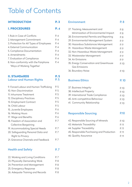# Table of Contents

#### INTRODUCTION P. 3

### I. PROCEDURES

|  | в. | ٠ |
|--|----|---|

| 1. Rule in Case of Conflicts             |  |
|------------------------------------------|--|
| 2. Management Commitment                 |  |
| 3. Protection for All Types of Employees |  |
| 4. External Communication                |  |
| 5. Compliance Documentation              |  |
| 6. Amendments                            |  |
| 7. Evaluation of Compliance              |  |
| 8. Non-conformity with the Fairphone     |  |
| 'Ways of Working Together'               |  |

#### II. STANDARDS Labour and Human Rights P. 5 P. 5

| 9. Forced Labour and Human Trafficking |      |  |
|----------------------------------------|------|--|
| 10. Non-Discrimination                 |      |  |
| 11. Inhumane Treatment                 |      |  |
| 12. Disciplinary Practices             |      |  |
| 13. Employment Contract                |      |  |
| 14. Child Labour                       |      |  |
| 15. Juvenile Employees                 | P. 6 |  |
| 16. Working Hours                      |      |  |
| 17. Wage and Benefits                  |      |  |
| 18. Freedom of Association and         |      |  |
| <b>Collective Bargaining</b>           |      |  |
| 19. Accommodating Special Needs        | P. 7 |  |
| 20. Safeguarding Personal Data and     |      |  |
| <b>Right to Privacy</b>                |      |  |
| 21. Grievance Channels and Feedback    |      |  |
|                                        |      |  |

# Health and Safety

| 22. Working and Living Conditions | P 7            |
|-----------------------------------|----------------|
| 23. Physically Demanding Work     | P. 8           |
| 24. Prevention and Management     | P <sub>8</sub> |
| 25. Emergency Response            | P.8            |
| 26. Adequate Training and Records | P <sub>8</sub> |

P. 7

# Environment

| P. 8  |
|-------|
|       |
| P. 8  |
| P. 8  |
| P. 9  |
| P. 9  |
| P. 9  |
| P. 9  |
| P. 9  |
| P. 9  |
| P. 10 |
|       |
| P 10  |
|       |

## Business Ethics

37. Business Integrity 38. Intellectual Property 39. International Trade Compliance 40. Anti-competitive Behaviour 41. Community Relationship P. 10 P. 10 P. 10 P. 10 P. 10

# Responsible Sourcing

P.10

P. 10

| 42. Responsible Sourcing of Minerals      | P. 10 |
|-------------------------------------------|-------|
| 43. Materials Traceability                | P. 11 |
| 44. Supplier Traceability                 | P 11  |
| 45. Responsible Purchasing and Production | P 11  |
| 46. Quality Assurance                     | P 11  |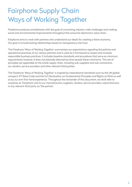# Fairphone Supply Chain Ways of Working Together

Fairphone produces smartphones with the goal of uncovering industry-wide challenges and making social and environmental improvements throughout the consumer electronics value chain.

Fairphone aims to work with partners who understand our ideals for creating a fairer economy. Our goal is to build lasting relationships based on transparency and trust.

The Fairphone 'Ways of Working Together' summarizes our expectations regarding the policies and operational practices of our various partners and is used as a framework to assess and increase responsible business practices. It includes baseline standards and procedures that serve as minimum requirements; however, it does not preclude alternatives that exceed these minimums. This set of principles are applicable to the whole supply chain, including sub-suppliers and sub-contractors, our vendors, service providers and other relevant third parties.

The Fairphone 'Ways of Working Together' is inspired by international standards such as the UN global compact, ETI Base Code and the ILO Declaration on Fundamental Principles and Rights at Work as well as by our own first-hand experience. Throughout the remainder of this document, we shall refer to ourselves as 'Fairphone' and to our manufacturers, suppliers, vendors, service providers, subcontractors or any relevant third party as 'the partner'.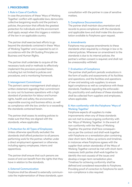#### I. PROCEDURES

#### 1. Rule in Case of Conflicts

In case the provisions of these 'Ways of Working Together' conflict with applicable laws, democratic collective bargaining results and the partner's policies, the provision that affords the greatest protection for individuals and the environment shall apply, except when this triggers a violation of the law in an applicable country.

The partner shall exercise best efforts to go beyond the standards contained in these 'Ways of Working Together' and is expected to act in accordance with the UN Guiding Principles on Business and Human Rights.

The partner shall undertake to acquire all the necessary tools and/or methods to effectively implement the provisions provided herein, including but not limited to policies and procedures, and a monitoring framework.

#### 2. Management Commitment

The partner's senior management shall adopt a written statement regarding their commitment to carry out its business operations with a high standard of protection for labour and human rights, health and safety, the environment, responsible sourcing and business ethics, as well as compliance with the law, similar to or exceeding the standards contained herein.

The partner shall assess its existing policies to make sure that they are aligned with the standards, where applicable.

#### 3. Protection for All Types of Employees

Unless otherwise specifically excluded, the standards shall afford protection to all persons performing work for the partner, whether under a direct employment agreement or otherwise, including agency employees, interns and apprentices.

The partner shall ensure that such persons are aware of and can benefit from the rights that they have in relation to the standards.

#### 4. External Communication

Fairphone shall be allowed to externally communicate the implementation of these standards, upon

consultation with the partner in case of sensitive matters.

#### 5. Compliance Documentation

The partner shall maintain documentation and records to prove compliance with the standards and applicable laws and shall make this documentation available to Fairphone upon request.

#### 6. Amendments

Fairphone may propose amendments to these standards when required by a change in law or its internal policies. Whenever an amendment to the standards is due to its internal policies, the partner's written consent is required, and shall not be unreasonably withheld.

#### 7. Evaluation of Compliance

The partner shall perform periodic evaluations in the form of audits and assessments of its facilities and operations, and the facilities and operations of new and existing sub-suppliers, to ensure legal compliance as well as compliance with these standards. Feedback regarding the enforceability, practicality and usefulness of these standards shall be collected from suppliers and employees, where applicable.

#### 8. Non-conformity with the Fairphone 'Ways of Working Together'

Fairphone expects all suppliers to make improvements when any of these standards are not met to ensure ongoing conformity with the 'Ways of Working Together'. In the event of non-conformity with the Ways of Working Together, the partner shall face consequences as per the contract and shall work together with Fairphone on a remediation plan containing clear short-term, follow-up actions and timelines. In instances where Fairphone agrees with the supplier that certain standard(s) of the Ways of Working Together cannot be met with short-term measures, both parties shall work together to identify the root cause(s) of the issues and develop a longer-term remediation plan. Timelines for achieving conformity shall be defined and considered reasonable to Fairphone. Providing proof of correction to Fairphone for each non-compliance is also required.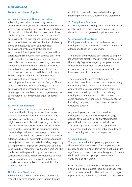#### II. STANDARDS

#### Labour and Human Rights

#### 9. Forced Labour and Human Trafficking

All employment shall be voluntary; forced, compulsory, prison, slave, or debt bonded labour as well as any form of human trafficking is prohibited. No deposit shall be withheld from or debt placed on the employee before or during the period of employment. The partner shall ensure that no employment fees or costs are directly or indirectly borne by employees upon commencing employment or throughout the period of employment. Employees' free movement will be guaranteed. Employees' work permits, any form of identification or travel documents shall not be confiscated or retained, preventing their free movement. All recruitment shall be performed through publicly accessible channels that are free from coercion or other forced labour indicators. Foreign migrant workers must receive their employment agreement prior to the worker departing from his or her country of origin. There shall be no substitution or change(s) allowed in the employment agreement upon arrival to the receiving country unless these changes are made to meet local law and provide equal or better terms.

#### 10. Non-Discrimination

The partner shall not engage in or support discrimination in hiring, remuneration, access to training, promotion, termination or retirement based on race, national or territorial or social origin, caste, medical conditions, religion, disability, gender, sexual orientation, family responsibilities, health status, marital status, pregnancy, union membership, political opinions, age or any other condition that could give rise to discrimination. In addition, workers or potential workers should not be subjected to medical tests, including pregnancy or virginity tests, or physical exams that could be used in a discriminatory way. Mechanisms shall be implemented to protect migrant, temporary, seasonal and ethnic minority employees against any form of discrimination. Workers shall be provided with reasonable accommodation for religious practices.

#### 11. Inhumane Treatment

All employees shall be treated with dignity and respect; any form of harassment, abuse, threats, exploitation, sexually coercive behaviour, public shaming or inhumane treatment are prohibited.

#### 12. Disciplinary Practices

No employee shall be subjected to physical, verbal, or other acts as a disciplinary measure (e.g. deduction from wages as disciplinary measure).

#### 13. Employment Contract

Employees shall be provided with a written employment contract immediately upon hiring, in a language that they understand.

The partner shall exercise best efforts to employ its employees directly, thus minimising the use of third-party (e.g. labour agency) employment or temporary employment or other forms of engagement which may circumvent employment laws in an unethical manner.

The use of employment methods such as excessive use of fixed-term contracts, labour-only contracting, home working arrangements and apprenticeships are prohibited when there is no real intention to impart skills or provide regular employment or when such methods are used to avoid obligations under regular employee status, including the provision of social security and employee benefits.

Any employees who do not have a direct employment contract with the partner (e.g., agency employees) shall be granted suitable protection in accordance with their status. The same applies to interns and apprentices. The partner shall bear all applicable recruitment and/or employment fees and expenses.

#### 14. Child Labour

The partner shall not employ any person under the age of 15, under the age for completing compulsory education, or under the national minimum age for employment, whichever is highest. Partners shall implement an appropriate mechanism to verify the age of workers.

Upon discovery of child labour, the partner shall undertake all the required legal actions together with the relevant authorities and the child's legal representatives. It shall also provide the necessary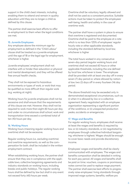support in the child's best interests, including enabling them to attend and remain in quality education until they are no longer a child as defined by this clause.

The partner shall exercise best efforts to offer re-employment to them when the legal conditions are met.

#### 15. Juvenile Employees

Any employee above the minimum age for employment as defined in the "Child Labour" clause shall be treated as a juvenile employee until the age of 18 or the legal age for employment, whichever is higher.

Juvenile employees' employment shall not interfere with or hinder their education or physical and mental development, and they will be offered free annual health checks.

They shall not be exposed to hazardous environments or types of work, or work that may be qualified as more difficult than regular work (e.g. working at night).

Working hours for juvenile employees shall not be excessive and shall ensure that the requirements of this clause are met. However, they shall not be required to work more than eight (8) hours per day, and under no circumstances shall school, work and transportation time exceed a combined total of ten (10) hours per day.

#### 16. Working Hours

Working hours (meaning regular working hours and overtime) shall not be excessive.

Regular working hours (i.e., excluding overtime) and overtime requirements, as well as the compensation for both, shall be included in the written employment contract.

When establishing working hours, the partner shall ensure that they are in compliance with the applicable laws, collective bargaining agreements and industry standards on working hours, including breaks and public holidays. The regular working hours shall be defined by law but shall in any event not exceed forty (40) hours per week.

Overtime shall be voluntary, legally allowed and shall not be used as a consistent practice. Suitable actions must be taken to protect the employees' well-being, health and safety in the case of overtime work.

The partner shall have a system in place to ensure that overtime is registered and documented. Overtime shall be paid to the employee at a rate which is no less than 125% of employees' regular hourly rate or other applicable standards, including the standard defined by local law, whichever is higher

The total hours worked in any consecutive seven-day period (regular working hours and overtime) shall not exceed 60 hours or other applicable thresholds, including the one defined by local law, whichever is lower. The employee shall be provided with at least one day off in every seven (7) day period or, where allowed by national law, two (2) days off in every fourteen (14) day period.

The above threshold may be exceeded only in demonstrated exceptional circumstances, such as (i) when it is allowed by law or a collective agreement freely negotiated with an employee organization representing a significant portion of the workforce, or (ii) unexpected production peaks, accidents or emergencies.

#### 17. Wage and Benefits

For regular working hours, employees shall receive at least the wages and benefits (i) required by law, or (ii) industry standards, or (iii) negotiated by employees through collective/individual bargaining, whichever is highest. Wages should be enough to cover basic needs and provide discretionary income.

Employees' wages and benefits shall be clearly communicated with employees. The wages and benefits composition shall be detailed in writing for each pay period. All wages and benefits shall be paid on time; vouchers, coupons or promissory notes cannot be used to replace wage payment. The partner shall exercise best efforts to progressively raise employees' living standards through improved wage systems, benefits, welfare pro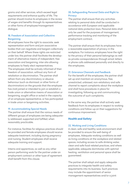grams and other services, which exceed legal requirements and enhance quality of life. The partner should involve its employees in the review of wages and benefits through its representatives or other forms of employee/management dialogue.

#### 18. Freedom of Association and Collective **Bargaining**

All employees have the right to associate, seek representation and form and join associative bodies that can negotiate and bargain collectively on their behalf. Where these rights are restricted under law, the partner shall facilitate the development of alternative means of independent, free association and bargaining, inter alia allowing employees to freely elect representatives. The employees shall be actively informed of their freedom of association, without any form of retaliation or discrimination. The partner shall refrain from any discriminatory or abusive behaviour (such as dismissal, or other forms of discrimination) on the grounds that the employee has (not) joined or intended to join or establish a trade union or alternative means of association or bargaining, sought office or acted in the capacity of an employee representative, or has participated in trade union or bargaining activities.

#### 19. Accommodating Special Needs

The partner shall ensure that the various needs of different groups of employees are being adequately addressed, supported and fulfilled, when reasonably practicable.

For instance, facilities for religious practices should be provided and female employees should receive adequate treatment, including during pregnancy and nursing. Student employees shall receive adequate training and support.

Interns and apprentices, as well as any other person performing work for the partner under an employment contract or other type of agreement shall benefit from this clause.

#### 20. Safeguarding Personal Data and Right to **Privacy**

The partner shall ensure that any activities relating to personal data shall be conducted in accordance with European and applicable national data protection laws. Personal data shall only be used for the purposes of management, performance tracking and monitoring of the employment contract.

The partner shall ensure that its employees have a reasonable expectation of privacy in the workplace. For instance, employees have the right to the privacy of their personal belongings as well as private correspondences through email, letters or phone calls addressed personally and directly to the employees.

#### 21. Grievance Channels and Feedback

For the benefit of the employees, the partner shall set up and maintain an anonymous, free, unrestricted, unbiased, non-retaliatory and safe channel to report complaints about the workplace and shall have procedures in place for investigating, following up and communicating the outcome of such complaints.

In the same way, the partner shall actively seek feedback from its employees in respect to working conditions and follow-up on their suggestions for continuous improvement.

### Health and Safety

#### 22. Working and Living Conditions

A clean, safe and healthy work environment shall be provided to ensure the well-being of employees. Adequate working conditions as well as living conditions at the workplace and related spaces, including access to safe drinking water, clean and safe food-related practices, and where applicable, adequate dormitories with optimal heating, ventilation and personal space shall be guaranteed.

The partner shall adopt and apply adequate practices to integrate health and safety requirements into its business. Such practices may include the appointment of senior management representatives and/or a joint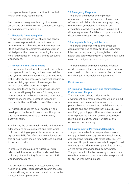management/employee committee to deal with health and safety requirements.

Employees have a guaranteed right to refuse unsafe and unhealthy working conditions, to report them and receive remediation.

#### 23. Physically Demanding Work

The partner shall identify, evaluate, and control employees' exposure to tasks that pose an ergonomic risk such as excessive force, improper lifting positions, or repetitiveness and establish related protective measures, including for new or modified production lines, equipment, tools, and workstations.

#### 24. Prevention and Management

The partner shall implement adequate prevention, management, monitoring and response policies and systems to handle health and safety hazards. It shall identify and assess any potential hazards in work and living spaces and the emergencies that could be caused by them, ranking and categorizing them by their seriousness, urgency and the handling requirements. Following such identification, it shall adopt adequate measures to minimize or eliminate, insofar as reasonably practicable, the identified causes of the hazards.

For hazards that cannot be eliminated, it shall develop and implement preventive action plans and response mechanisms to minimize any potential harm.

At all times, the partner shall provide and maintain adequate and safe equipment and tools, which includes providing appropriate personal protective equipment (PPE) free of charge to employees and free annual health checks for employees exposed to hazards or risks.

In areas with chemicals and hazards or risks, adequate information shall be made available including Material Safety Data Sheets and PPE wearing instructions.

The partner shall maintain written records of all health and safety incidents that occur in the workplace and living environment, as well as the implemented follow-up measures.

#### 25. Emergency Response

The partner shall adopt and implement appropriate emergency response plans in case of hazards which include: emergency reporting management, employee notification and evacuation procedures, employee training and drills, adequate exit facilities, and appropriate fire detection and suppression equipment.

#### 26. Adequate Training and Records

The partner shall ensure that employees are adequately trained to carry out their responsibilities and duties, including through the provision of health and safety trainings on a regular basis, such as on-site and job-specific trainings.

The training shall be made available whenever needed, including for new and reassigned employees, as well as after the occurrence of an incident and changes in technology or equipment.

## Environment

#### 27. Tracking, Measurement and Minimization of Environmental Impact

The operations' adverse effects on the environment and natural resources will be tracked, measured and minimized as reasonably practicable and in accordance with local industry practices and best available techniques by e.g., modifying polluting practices, maintenance and facility processes, material choice, conservation, recycling and reusing, energy efficiency, site restoration and sourcing.

#### 28. Environmental Permits and Reporting

The partner shall obtain, keep up-to-date and comply with all necessary environmental permits and reporting requirements for its activities. Environmental impact assessments shall be performed to identify and address the impact of its business on the environment and local communities. The partner will take the necessary actions to ensure that timely and proper remedies are provided for any environmental breach.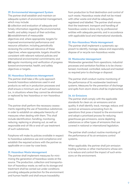#### 29. Environmental Management System

The partner shall establish and maintain an adequate system of environmental management, which may include:

(i) collection and evaluation of adequate and timely information regarding the environmental, health, and safety impact of their activities; (ii) establishment of measurable objectives and, where appropriate, targets for improved environmental performance and resource utilization, including periodically reviewing the continued relevance of these objectives; where appropriate, targets should be consistent with relevant national policies and international environmental commitments; and (iii) regular monitoring and verification of progress toward environmental, health, and safety objectives or targets.

#### 30. Hazardous Substances Management

The partner shall take a life cycle approach towards hazardous substances used in end products as well as in production processes and shall ensure a minimum use of such substances (i.e., in situations where they cannot be eliminated or replaced by less hazardous or non-hazardous ones).

The partner shall perform the necessary assessments regarding the use of hazardous substances in order to establish an adequate hierarchy of measures when dealing with them. This shall include identification, handling, monitoring, reducing, replacing or phasing out, as well as responsible end-of-life or end-of-use treatment of such substances.

Fairphone will make its policies available in respect to hazardous substance use and compliance and establish the required actions with the partner as applicable on a case-by-case basis.

#### 31. Hazardous Waste Management

The partner shall implement measures for minimizing the generation of hazardous waste at the source. The production, collection and transportation of hazardous waste, as well as its storage and treatment shall be carried out under conditions providing adequate protection for the environment and human health and shall ensure traceability

from production to final destination and control of such waste. Hazardous waste shall not be mixed with other waste and shall be adequately registered and labelled. The partner shall ensure that the treatment, transport and handling of hazardous waste is done only by professional entities with adequate permits, and in accordance with applicable local and international standards.

#### 32. Non-Hazardous Waste Management

The partner shall implement a systematic approach to identify, manage, reduce and responsibly dispose of or recycle non-hazardous waste.

#### 33. Wastewater Management

Wastewater generated from operations, industrial processes and sanitation facilities is to be characterized, monitored, controlled, reduced and treated as required prior to discharge or disposal.

The partner shall conduct routine monitoring of the performance of its wastewater treatment systems. Measures for the prevention of discharge and spills from storm drains shall be implemented.

#### 34. Air Emissions

The partner shall comply with the applicable standards for clean air, air emissions and air quality. It shall identify, track, manage, reduce, and control air emissions emanating from its operations that pose a hazard to the environment and adopt a prioritized process for reducing greenhouse gas emissions, ozone depleting substances or other types of emissions that are covered in national or international legislation.

The partner shall conduct routine monitoring of the performance of its air emissions control systems.

When applicable, the partner shall join emission trading schemes or other mechanisms whose aim is to reduce and control the impact of such emissions on the environment.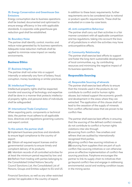#### 35. Energy Conservation and Greenhouse Gas Emissions

Energy consumption due to business operations shall be tracked, documented and optimized to ensure energy efficiency in line with applicable standards. A corporate-wide greenhouse gas reduction goal shall be established.

#### 36. Boundary Noise

The partner shall identify, control, monitor, and reduce noise generated by its business operations. Adequate noise reduction methods shall be applied to minimize noise impact on nearby environments.

### Business Ethics

#### 37. Business Integrity

The partner shall not enter into or support internally or externally any form of bribery, fraud, corruption, money laundering or similar practices.

#### 38. Intellectual Property

Intellectual property rights shall be respected, transfer and sourcing of technology and expertise shall be done in a manner that protects intellectual property rights, and personal data of individuals shall be safeguarded.

#### 39. International Trade Compliance

When exporting parts, components or technical data, the partner must adhere to all applicable laws, directives and regulations governing customs and export control.

#### To this extent, the partner shall:

(i) Implement business practices and standards to ensure legal compliance to the country of export;

(ii) Obtain all required export licenses and/or governmental consents to ensure timely and compliant delivery of its products;

(iii) Maintain records of all controlled activities for at least the minimum period required by law; and (iv) Refrain from trading with parties belonging to the Consolidated United Nations Security Council Sanctions List, the Consolidated List of Persons, Groups and Entities subject to EU and US

Financial Sanctions, as well as any other restricted parties' list applicable in the country of export.

In addition to these basic requirements, further requirements are to be considered due to national or product-specific requirements. These shall be evaluated on a case-by-case basis.

#### 40. Anti-competitive Behaviour

The partner shall carry out their activities in a fair manner consistent with all applicable competition and tax regulations, taking into account the laws of all jurisdictions in which the activities may have anticompetitive effects.

#### 41. Community Relationship

The partner shall exercise best efforts to support and foster the long-term sustainable development of local communities, e.g., by contributing resources and minimizing the negative impact of its business operations.

### Responsible Sourcing

#### 42. Responsible Sourcing of Minerals

The partner shall exercise best efforts to ensure that the minerals used in the products do not contribute to conflict and/or human rights abuses, but instead support the economic growth and development in the areas where they are extracted. The application of this clause shall not lead to the cessation of the supply of minerals from conflict-affected areas that are proven to be conflict-free.

The partner shall exercise best efforts in ensuring that the sourcing of the defined conflict minerals do not contribute to conflict or human rights violations inter alia through

(i) sourcing from conflict- free smelters and refiners that are audited by internationally recognized third parties,

(ii) joining conflict-free sourcing initiatives or (iii) sourcing from suppliers that are part of such conflict-free sourcing initiatives or can otherwise prove an effective implementation of conflict-free sourcing practices. Fairphone encourages the partner to link its supply chain to initiatives that go beyond conflict-free and engage in addressing environmental, social and working condition issues in the mining sector.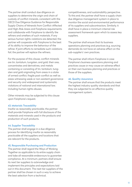The partner shall conduct due diligence on suppliers to determine the origin and chain of custody of conflict minerals, consistent with the OECD Due Diligence Guidance for Responsible Supply Chains of Minerals from Conflict-Affected and High-Risk Areas and Fairphone requirements and collaborate with Fairphone to identify the refiners and smelters of such materials. If any serious human rights violations are detected, the partner will cooperate with Fairphone to the best of its ability to improve the behaviour of the refiner. If joint efforts to remediate such violations fail, the partner will replace the refiners.

For the purpose of this clause, conflict minerals are tin, tantalum, tungsten, and gold, their ores, concentrates and derivatives, and metals containing or consisting of tin, tantalum, tungsten and gold originating from areas in a state of armed conflict, fragile post-conflict as well as areas witnessing weak or non-existent governance and security and widespread and systematic violations of national and international law, including human rights abuses.

Other minerals may be subjected to this clause upon Fairphone's request.

#### 43. Materials Traceability

Insofar as reasonably practicable, the partner shall provide Fairphone with full disclosure of the materials and minerals used in the products and production of such products.

#### 44. Supplier Traceability

The partner shall engage in a due diligence process for identifying insofar as reasonably practicable all the suppliers and locations that are relevant for the products.

#### 45. Responsible Purchasing and Production

The partner shall regard the Ways of Working Together as applicable to its entire supply chain and take all reasonable endeavours to guarantee compliance. At a minimum, partners shall ensure its next tier suppliers to acknowledge and implement the principles and expectations laid out in this document. The next tier suppliers of the partner shall be chosen in such a way to achieve the best selection from a technical,

competitiveness, and sustainability perspective. To this end, the partner shall have a supply chain due diligence management system in place to monitor the social and environmental performance of its suppliers and subcontractors. Similarly, it shall have in place a minimum internal risk assessment framework upon which to assess key suppliers.

The partner shall ensure that its business operations planning and practices (e.g. sourcing demands) do not have an adverse effect on the sub-supplier's' own practices.

The partner shall inform Fairphone in case Fairphone's business operations planning and practices cause or may cause an adverse effect on their own business planning and practices or those of the suppliers.

#### 46. Quality Assurance

The partner shall ensure that the products meet the highest industry quality standards and that they are subjected to an effective quality management system.